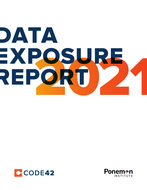# DATA EXPOSURE REPORT



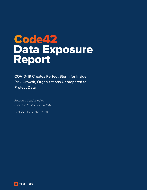# Data Exposure Report Code42

**COVID-19 Creates Perfect Storm for Insider Risk Growth, Organizations Unprepared to Protect Data**

Research Conducted by Ponemon Institute for Code42

Published December 2020

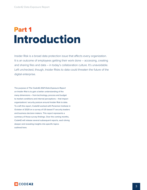### Introduction Part 1

Insider Risk is a broad data protection issue that affects every organization. It is an outcome of employees getting their work done – accessing, creating and sharing files and data – in today's collaboration culture. It's unavoidable. Left unchecked, though, Insider Risks to data could threaten the future of the digital enterprise.

The purpose of *The Code42 2021 Data Exposure Report on Insider Risk* is to gain a better understanding of the many dimensions – from technology, process and budget to market conditions and internal perceptions – that impact organizations' security posture around Insider Risk to data. To craft this report, Code42 worked with Ponemon Institute in October of 2020 on a survey of US-based IT security leaders and business decision makers. This report represents a summary of those survey findings. Over the coming months, Code42 will release several subsequent reports, each diving deeper and revealing insights into specific topics outlined here.

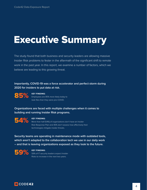# Executive Summary

The study found that both business and security leaders are allowing massive Insider Risk problems to fester in the aftermath of the significant shift to remote work in the past year. In this report, we examine a number of factors, which we believe are leading to this growing threat.

#### **Importantly, COVID-19 was a force accelerator and perfect storm during 2020 for insiders to put data at risk.**

85%

**KEY FINDING:**  Employees are 85% more likely today to leak files than they were pre-COVID.

**Organizations are faced with multiple challenges when it comes to building and running Insider Risk programs.**



#### **KEY FINDING:**

More than half (54%) of organizations don't have an Insider Risk Response Plan and 40% don't assess how effectively their technologies mitigate insider threats.

**Security teams are operating in maintenance mode with outdated tools, which aren't adapted to the collaboration tech we use in our daily work – and that is leaving organizations exposed as they look to the future.**



**KEY FINDING:** 59% of IT security leaders expect Insider Risks to increase in the next two years.

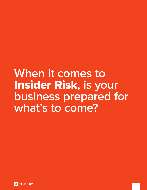# **When it comes to**  Insider Risk**, is your business prepared for what's to come?**

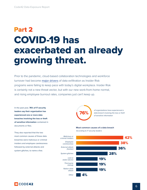# COVID-19 has exacerbated an already growing threat. Part 2

Prior to the pandemic, cloud-based collaboration technologies and workforce turnover had become [major drivers](https://www.code42.com/news-releases/code42-data-exposure-report-collaborative-work-environments-dynamic-workforce-exacerbate-insider-threat-problem/) of data exfiltration as Insider Risk programs were failing to keep pace with today's digital workplace. Insider Risk is certainly not a new threat vector, but with our new work-from-home normal, and rising employee burnout rates, companies just can't keep up.

In the past year, **76% of IT security leaders say their organization has experienced one or more data breaches involving the loss or theft of sensitive information** contained in documents or files.

They also reported that the two most common causes of these data breaches were malicious or criminal insiders and employee carelessness followed by external attacks and system glitches, to name a few.



*of organizations have experienced a data breach involving the loss or theft of sensitive information*

**Most common causes of a data breach**





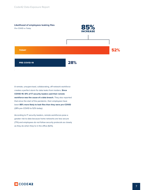

A remote, unsupervised, collaborating, off-network workforce creates a perfect storm for data leaks from insiders. **Since COVID-19**, **61% of IT security leaders said their remote workforce was the cause of a data breach.** They also reported that since the start of the pandemic, their employees have been **85% more likely to leak files than they were pre-COVID** (28% pre-COVID to 52% today).

According to IT security leaders, remote workforces pose a greater risk to data because home networks are less secure (71%) and employees do not follow security protocols as closely as they do when they're in the office (62%).

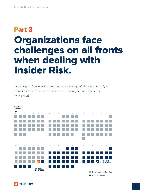# Organizations face challenges on all fronts when dealing with Insider Risk. Part 3

According to IT security leaders, it takes an average of 118 days to identify a data breach and 55 days to contain one – a nearly six month process. Why is that?



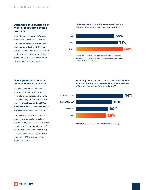#### **Attitudes about ownership of work products have shifted over time.**

More than **three-quarters (80%) of business decision makers believe they are entitled to or should own their work product.** In 2019, 71% of business decision makers felt entitled to their work, up slightly over 2018 when 65% of leaders felt they do or should own their work product.

#### **Business decision makers who believe they are entitled to or should own their work product**



*\* Historical figures sourced from research provided by Sapio Research for Code42 2018 Data Exposure Report and Code42 2019 Data Exposure Report.* 

#### **If everyone owns security, then no one owns security.**

It is not clear who has ultimate authority and responsibility for controlling and mitigating the insider threat challenge. IT Security leaders put line of **business leaders (44%), General Counsel (33%)** and **end users (30%)** ahead of even **CISOs (28%).**

Survey respondents identified the primary challenges to mitigating insider threat. They say it comes down to a lack of collaboration between IT security and lines of business (61%); a lack of leadership (51%); not being a priority (48%); and a lack in-house expertise (43%).

**IT security leader responses to the question, "***who has ultimate authority and responsibility for controlling and mitigating the insider threat challenge***?"**



*Security is more accountable than they are admitting.*

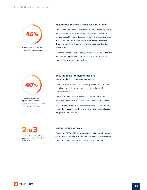

*of organizations have an insider risk response plan*

#### **Insider Risk response processes are broken.**

The C-suite and board of directors are under-informed about their organization's insider threat posture on a near-term regular basis. IT security leaders say in 70% of organizations, the C-suite and board of directors are **briefed on insider threats annually, only when requested, on an ad-hoc basis or not at all.**

**Less than half of organizations, a mere 46%, have an Insider Risk response plan** (IRRP). Of those with an IRRP, 71% apply it inconsistently or on an ad hoc basis.



*of respondents do not regularly assess how effectively their technologies mitigate insider threats*

#### **Security tools for Insider Risk are not adapted to the way we work.**

Nearly three-quarters (71%) of security teams lack complete visibility to sensitive data movement, according to IT security leaders.

The vast majority (91%) of security teams do NOT have purpose-built technology to document insider threat cases.

**Forty percent (40%)** of survey respondents say they **do not regularly or ever assess how effectively their technologies mitigate insider threats**.

2 IN 3 *IT security leaders believe* 

*their budget for Insider Risk is insufficient*

#### **Budget issues prevail.**

**Two-thirds (66%) of IT security leaders believe their budget for Insider Risk is insufficient**, and 54% of IT security leaders spend less than 20% of their budgets on Insider Risk.

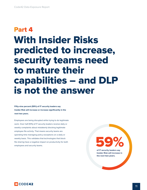# With Insider Risks predicted to increase, security teams need to mature their capabilities – and DLP is not the answer Part 4

**Fifty-nine percent (59%) of IT security leaders say Insider Risk will increase or increase significantly in the next two years.**

Employees are being disrupted while trying to do legitimate work. Over half (51%) of IT security leaders receive daily or weekly complaints about mistakenly blocking legitimate employee file activity. That means security teams are spending time managing policy exceptions on a daily or weekly basis. This validates that technologies that block file sharing have a negative impact on productivity for both weekly basis. This validates that technologies that block<br>file sharing have a negative impact on productivity for both<br>employees and security teams.

**of IT security leaders say Insider Risk will increase in the next two years.**

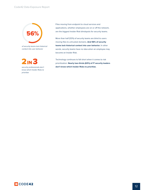

*of security teams lack historical context into user behavior*



*security professionals don't know which Insider Risks to prioritize*

Files moving from endpoint to cloud services and applications, whether employees are on or off the network, are the biggest Insider Risk blindspots for security teams.

More than half (53%) of security teams are blind to users moving files to untrusted domains. **And 56% of security teams lack historical context into user behavior.** In other words, security teams have no idea when an employee may become an Insider Risk.

Technology continues to fall short when it comes to risk prioritization. **Nearly two-thirds (63%) of IT security leaders don't know which Insider Risks to prioritize.**

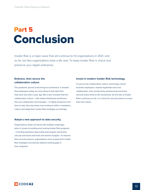### Conclusion Part 5

Insider Risk is a major wave that will continue to hit organizations in 2021, and so far, too few organizations have a life vest. To keep Insider Risk in check and preserve your digital enterprise:

#### **Embrace, then secure the collaboration culture.**

The pandemic proved a few things to businesses. It showed that employees today are more likely to leak data than they were less than a year ago. But it also revealed that the collaboration culture – with widely distributed workforces that use collaboration technologies – is highly productive and here to stay. Security teams must embrace shifts in workplace culture and adapt their Insider Risk strategies accordingly.

#### **Adopt a new approach to data security.**

Organizations today are faced with multiple challenges when it comes to building and running Insider Risk programs – including questions about data and program ownership, sub-par processes and tools and anemic budgets. To improve their security posture, organizations must revamp their Insider Risk strategies and directly address existing gaps in their programs.

#### **Invest in modern Insider Risk technology.**

To secure the collaboration culture, technology cannot frustrate employees, impede legitimate work and collaboration, force productivity workarounds and leave security teams blind to file movements. As the tide of Insider Risks continues to rise, it is critical for security teams to recast their tech stacks.

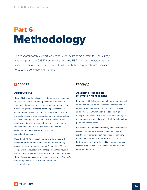# Methodology Part 6

The research for this report was conducted by Ponemon Institute. The survey was completed by 623 IT security leaders and 586 business decision makers from the U.S. All respondents were familiar with their organizations' approach to securing sensitive information.

#### **C**CODE42

#### **About Code42**

Code42 is the leader in insider risk detection and response. Native to the cloud, Code42 rapidly detects data loss, leak, theft and sabotage as well as speeds incident response – all without lengthy deployments, complex policy management or blocking employee productivity. With Code42, security professionals can protect corporate data and reduce insider risk while fostering an open and collaborative culture for employees. Backed by security best practices and control requirements, Code42's insider risk solution can be configured for GDPR, HIPAA, PCI and other regulatory frameworks.

More than 50,000 organizations worldwide, including the most recognized brands in business and education, rely on Code42 to safeguard their ideas. Founded in 2001, the company is headquartered in Minneapolis, Minnesota, and backed by Accel Partners, JMI Equity and Split Rock Partners. Code42 was recognized by Inc. magazine as one of America's best workplaces in 2020. For more information, visit [code42.com](http://code42.com).

#### **Ponemon**

#### **Advancing Responsible Information Management**

Ponemon Institute is dedicated to independent research and education that advances responsible information and privacy management practices within business and government. Our mission is to conduct high quality, empirical studies on critical issues affecting the management and security of sensitive information about people and organizations.

We uphold strict data confidentiality, privacy and ethical research standards. We do not collect any personally identifiable information from individuals (or company identifiable information in our business research). Furthermore, we have strict quality standards to ensure that subjects are not asked extraneous, irrelevant or improper questions.